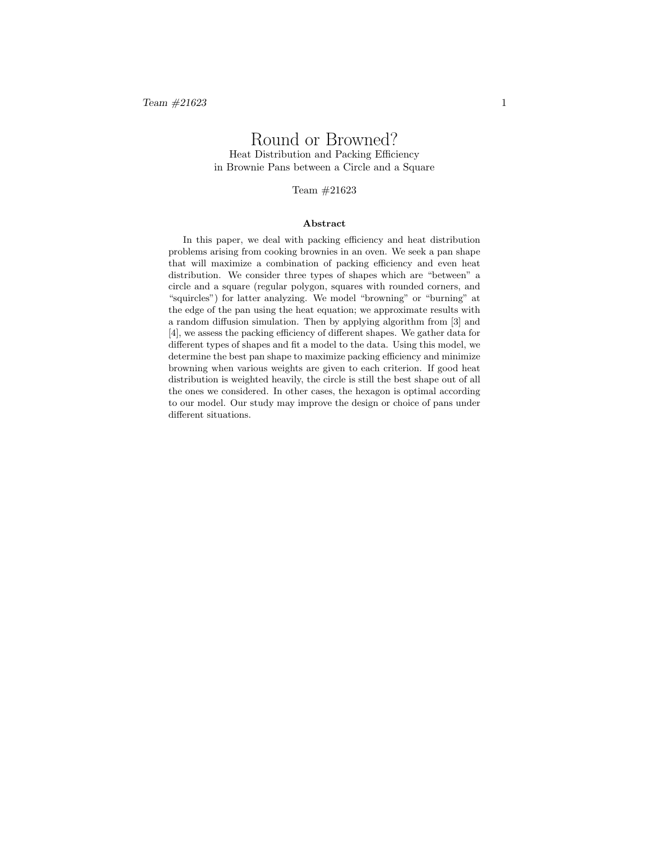# Round or Browned? Heat Distribution and Packing Efficiency in Brownie Pans between a Circle and a Square

#### Team #21623

#### Abstract

In this paper, we deal with packing efficiency and heat distribution problems arising from cooking brownies in an oven. We seek a pan shape that will maximize a combination of packing efficiency and even heat distribution. We consider three types of shapes which are "between" a circle and a square (regular polygon, squares with rounded corners, and "squircles") for latter analyzing. We model "browning" or "burning" at the edge of the pan using the heat equation; we approximate results with a random diffusion simulation. Then by applying algorithm from [3] and [4], we assess the packing efficiency of different shapes. We gather data for different types of shapes and fit a model to the data. Using this model, we determine the best pan shape to maximize packing efficiency and minimize browning when various weights are given to each criterion. If good heat distribution is weighted heavily, the circle is still the best shape out of all the ones we considered. In other cases, the hexagon is optimal according to our model. Our study may improve the design or choice of pans under different situations.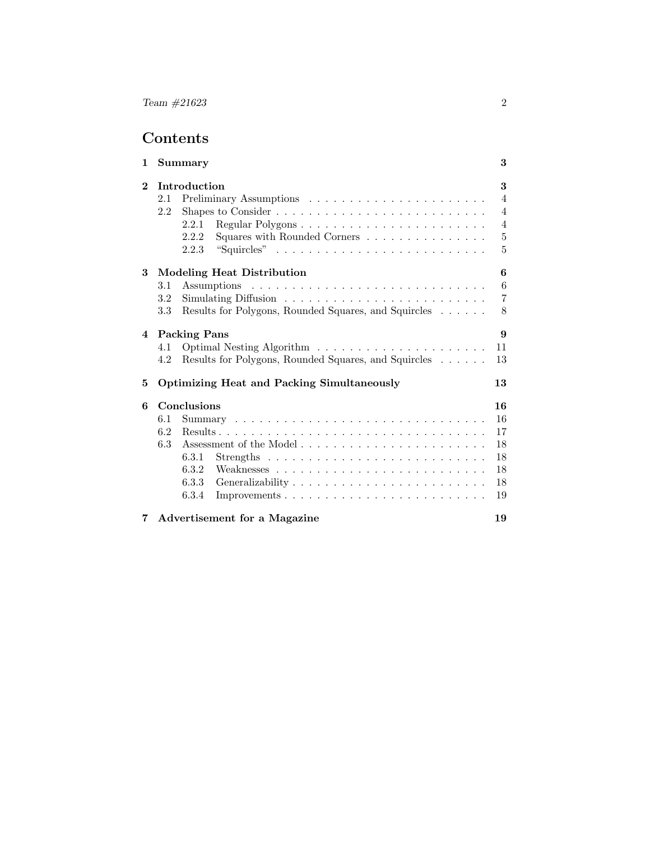# Contents

| 1              | Summary                                                     | 3              |
|----------------|-------------------------------------------------------------|----------------|
| $\mathbf{2}$   | Introduction                                                | 3              |
|                | 2.1                                                         | $\overline{4}$ |
|                | 2.2                                                         | $\overline{4}$ |
|                | 2.2.1                                                       | $\overline{4}$ |
|                | Squares with Rounded Corners<br>2.2.2                       | 5              |
|                | "Squircles"<br>2.2.3                                        | 5              |
| 3              | <b>Modeling Heat Distribution</b>                           | 6              |
|                | 3.1                                                         | 6              |
|                | 3.2                                                         | $\overline{7}$ |
|                | 3.3<br>Results for Polygons, Rounded Squares, and Squircles | 8              |
| $\overline{4}$ | <b>Packing Pans</b>                                         | 9              |
|                | 4.1                                                         | 11             |
|                | Results for Polygons, Rounded Squares, and Squircles<br>4.2 | 13             |
| 5              | <b>Optimizing Heat and Packing Simultaneously</b>           | 13             |
| 6              | Conclusions                                                 | 16             |
|                | 6.1                                                         | 16             |
|                | 6.2                                                         | 17             |
|                | 6.3                                                         | 18             |
|                | 6.3.1                                                       | 18             |
|                | 6.3.2                                                       | 18             |
|                | 6.3.3                                                       | 18             |
|                | 6.3.4                                                       | 19             |
| 7              | Advertisement for a Magazine                                | 19             |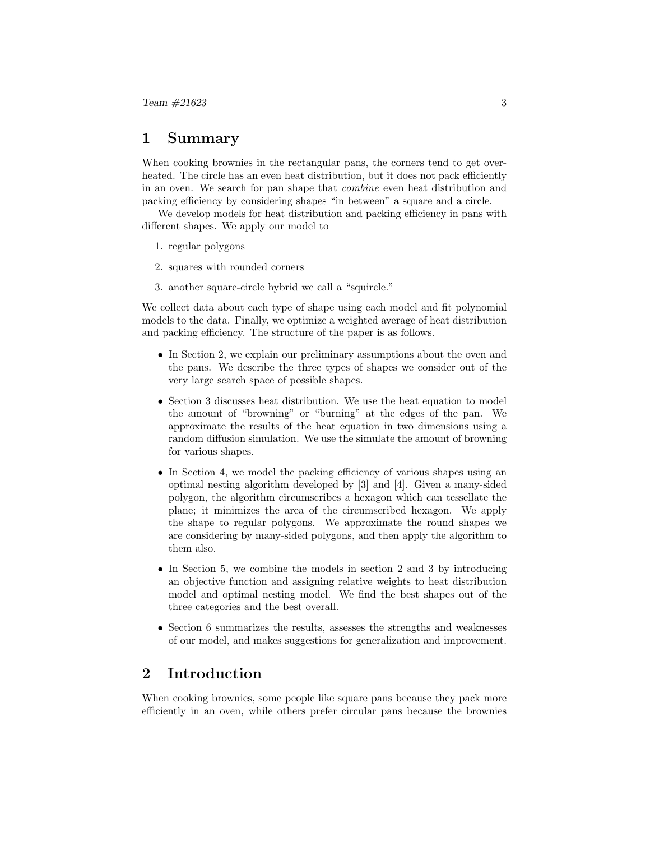# 1 Summary

When cooking brownies in the rectangular pans, the corners tend to get overheated. The circle has an even heat distribution, but it does not pack efficiently in an oven. We search for pan shape that combine even heat distribution and packing efficiency by considering shapes "in between" a square and a circle.

We develop models for heat distribution and packing efficiency in pans with different shapes. We apply our model to

- 1. regular polygons
- 2. squares with rounded corners
- 3. another square-circle hybrid we call a "squircle."

We collect data about each type of shape using each model and fit polynomial models to the data. Finally, we optimize a weighted average of heat distribution and packing efficiency. The structure of the paper is as follows.

- In Section 2, we explain our preliminary assumptions about the oven and the pans. We describe the three types of shapes we consider out of the very large search space of possible shapes.
- Section 3 discusses heat distribution. We use the heat equation to model the amount of "browning" or "burning" at the edges of the pan. We approximate the results of the heat equation in two dimensions using a random diffusion simulation. We use the simulate the amount of browning for various shapes.
- In Section 4, we model the packing efficiency of various shapes using an optimal nesting algorithm developed by [3] and [4]. Given a many-sided polygon, the algorithm circumscribes a hexagon which can tessellate the plane; it minimizes the area of the circumscribed hexagon. We apply the shape to regular polygons. We approximate the round shapes we are considering by many-sided polygons, and then apply the algorithm to them also.
- In Section 5, we combine the models in section 2 and 3 by introducing an objective function and assigning relative weights to heat distribution model and optimal nesting model. We find the best shapes out of the three categories and the best overall.
- Section 6 summarizes the results, assesses the strengths and weaknesses of our model, and makes suggestions for generalization and improvement.

# 2 Introduction

When cooking brownies, some people like square pans because they pack more efficiently in an oven, while others prefer circular pans because the brownies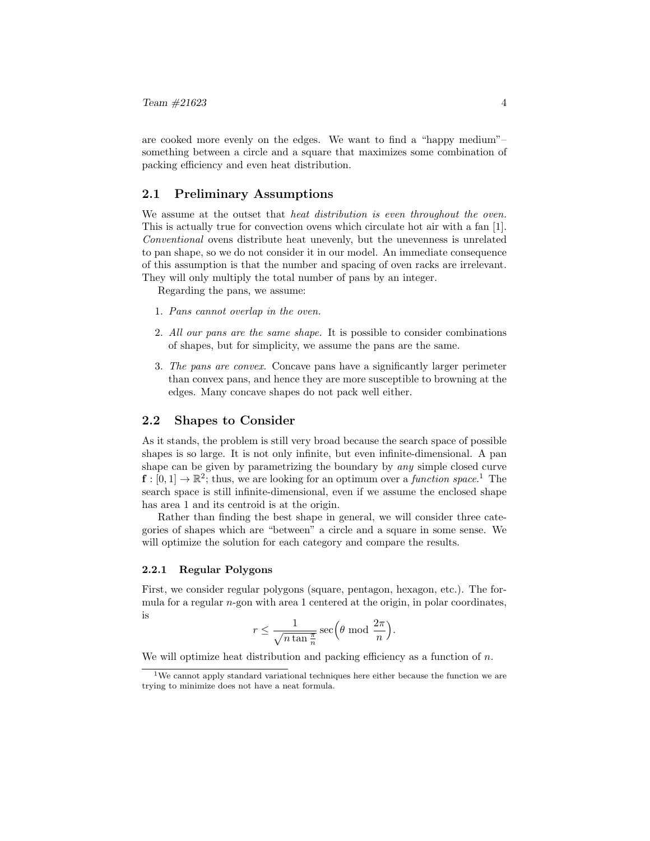are cooked more evenly on the edges. We want to find a "happy medium"– something between a circle and a square that maximizes some combination of packing efficiency and even heat distribution.

### 2.1 Preliminary Assumptions

We assume at the outset that *heat distribution is even throughout the oven*. This is actually true for convection ovens which circulate hot air with a fan [1]. Conventional ovens distribute heat unevenly, but the unevenness is unrelated to pan shape, so we do not consider it in our model. An immediate consequence of this assumption is that the number and spacing of oven racks are irrelevant. They will only multiply the total number of pans by an integer.

Regarding the pans, we assume:

- 1. Pans cannot overlap in the oven.
- 2. All our pans are the same shape. It is possible to consider combinations of shapes, but for simplicity, we assume the pans are the same.
- 3. The pans are convex. Concave pans have a significantly larger perimeter than convex pans, and hence they are more susceptible to browning at the edges. Many concave shapes do not pack well either.

### 2.2 Shapes to Consider

As it stands, the problem is still very broad because the search space of possible shapes is so large. It is not only infinite, but even infinite-dimensional. A pan shape can be given by parametrizing the boundary by any simple closed curve  $\mathbf{f}:[0,1] \to \mathbb{R}^2$ ; thus, we are looking for an optimum over a *function space*.<sup>1</sup> The search space is still infinite-dimensional, even if we assume the enclosed shape has area 1 and its centroid is at the origin.

Rather than finding the best shape in general, we will consider three categories of shapes which are "between" a circle and a square in some sense. We will optimize the solution for each category and compare the results.

#### 2.2.1 Regular Polygons

First, we consider regular polygons (square, pentagon, hexagon, etc.). The formula for a regular n-gon with area 1 centered at the origin, in polar coordinates, is

$$
r \le \frac{1}{\sqrt{n \tan \frac{\pi}{n}}} \sec \left(\theta \mod \frac{2\pi}{n}\right).
$$

We will optimize heat distribution and packing efficiency as a function of  $n$ .

<sup>1</sup>We cannot apply standard variational techniques here either because the function we are trying to minimize does not have a neat formula.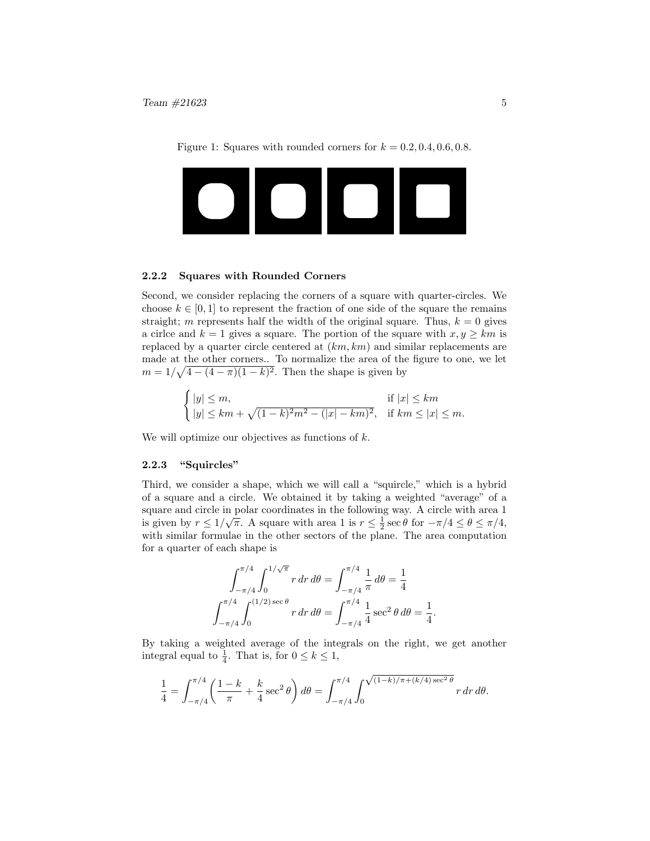Figure 1: Squares with rounded corners for  $k = 0.2, 0.4, 0.6, 0.8$ .



#### 2.2.2 Squares with Rounded Corners

Second, we consider replacing the corners of a square with quarter-circles. We choose  $k \in [0, 1]$  to represent the fraction of one side of the square the remains straight; m represents half the width of the original square. Thus,  $k = 0$  gives a circle and  $k = 1$  gives a square. The portion of the square with  $x, y \geq km$  is replaced by a quarter circle centered at  $(km, km)$  and similar replacements are made at the other corners.. To normalize the area of the figure to one, we let  $m = 1/\sqrt{4 - (4 - \pi)(1 - k)^2}$ . Then the shape is given by

$$
\begin{cases} |y| \le m, & \text{if } |x| \le km \\ |y| \le km + \sqrt{(1-k)^2 m^2 - (|x| - km)^2}, & \text{if } km \le |x| \le m. \end{cases}
$$

We will optimize our objectives as functions of  $k$ .

#### 2.2.3 "Squircles"

Third, we consider a shape, which we will call a "squircle," which is a hybrid of a square and a circle. We obtained it by taking a weighted "average" of a square and circle in polar coordinates in the following way. A circle with area 1 is given by  $r \leq 1/\sqrt{\pi}$ . A square with area 1 is  $r \leq \frac{1}{2} \sec \theta$  for  $-\pi/4 \leq \theta \leq \pi/4$ , with similar formulae in the other sectors of the plane. The area computation for a quarter of each shape is

$$
\int_{-\pi/4}^{\pi/4} \int_0^{1/\sqrt{\pi}} r \, dr \, d\theta = \int_{-\pi/4}^{\pi/4} \frac{1}{\pi} \, d\theta = \frac{1}{4}
$$

$$
\int_{-\pi/4}^{\pi/4} \int_0^{(1/2) \sec \theta} r \, dr \, d\theta = \int_{-\pi/4}^{\pi/4} \frac{1}{4} \sec^2 \theta \, d\theta = \frac{1}{4}.
$$

By taking a weighted average of the integrals on the right, we get another integral equal to  $\frac{1}{4}$ . That is, for  $0 \leq k \leq 1$ ,

$$
\frac{1}{4} = \int_{-\pi/4}^{\pi/4} \left( \frac{1-k}{\pi} + \frac{k}{4} \sec^2 \theta \right) d\theta = \int_{-\pi/4}^{\pi/4} \int_0^{\sqrt{(1-k)/\pi + (k/4) \sec^2 \theta}} r \, dr \, d\theta.
$$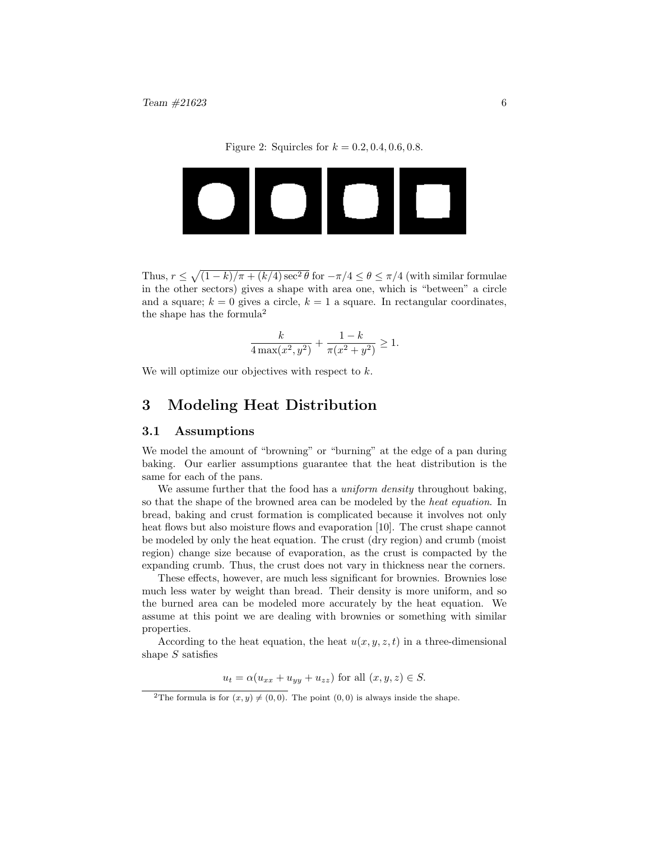Figure 2: Squircles for  $k = 0.2, 0.4, 0.6, 0.8$ .



Thus,  $r \leq \sqrt{(1-k)/\pi + (k/4)\sec^2\theta}$  for  $-\pi/4 \leq \theta \leq \pi/4$  (with similar formulae in the other sectors) gives a shape with area one, which is "between" a circle and a square;  $k = 0$  gives a circle,  $k = 1$  a square. In rectangular coordinates, the shape has the formula<sup>2</sup>

$$
\frac{k}{4\max(x^2,y^2)} + \frac{1-k}{\pi(x^2+y^2)} \ge 1.
$$

We will optimize our objectives with respect to  $k$ .

# 3 Modeling Heat Distribution

#### 3.1 Assumptions

We model the amount of "browning" or "burning" at the edge of a pan during baking. Our earlier assumptions guarantee that the heat distribution is the same for each of the pans.

We assume further that the food has a *uniform density* throughout baking, so that the shape of the browned area can be modeled by the heat equation. In bread, baking and crust formation is complicated because it involves not only heat flows but also moisture flows and evaporation [10]. The crust shape cannot be modeled by only the heat equation. The crust (dry region) and crumb (moist region) change size because of evaporation, as the crust is compacted by the expanding crumb. Thus, the crust does not vary in thickness near the corners.

These effects, however, are much less significant for brownies. Brownies lose much less water by weight than bread. Their density is more uniform, and so the burned area can be modeled more accurately by the heat equation. We assume at this point we are dealing with brownies or something with similar properties.

According to the heat equation, the heat  $u(x, y, z, t)$  in a three-dimensional shape  $S$  satisfies

 $u_t = \alpha (u_{xx} + u_{yy} + u_{zz})$  for all  $(x, y, z) \in S$ .

<sup>&</sup>lt;sup>2</sup>The formula is for  $(x, y) \neq (0, 0)$ . The point  $(0, 0)$  is always inside the shape.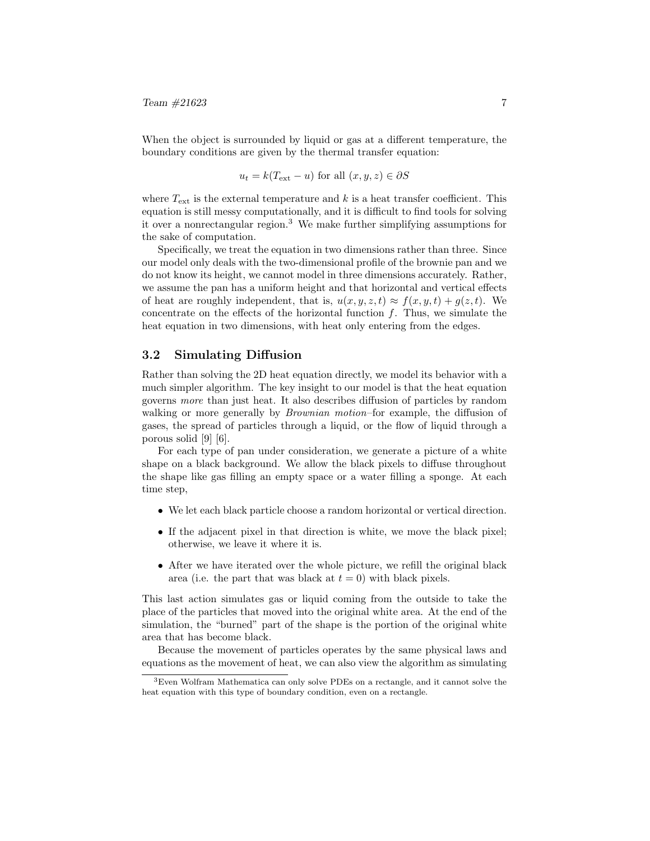When the object is surrounded by liquid or gas at a different temperature, the boundary conditions are given by the thermal transfer equation:

$$
u_t = k(T_{\text{ext}} - u)
$$
 for all  $(x, y, z) \in \partial S$ 

where  $T_{\text{ext}}$  is the external temperature and k is a heat transfer coefficient. This equation is still messy computationally, and it is difficult to find tools for solving it over a nonrectangular region.<sup>3</sup> We make further simplifying assumptions for the sake of computation.

Specifically, we treat the equation in two dimensions rather than three. Since our model only deals with the two-dimensional profile of the brownie pan and we do not know its height, we cannot model in three dimensions accurately. Rather, we assume the pan has a uniform height and that horizontal and vertical effects of heat are roughly independent, that is,  $u(x, y, z, t) \approx f(x, y, t) + g(z, t)$ . We concentrate on the effects of the horizontal function  $f$ . Thus, we simulate the heat equation in two dimensions, with heat only entering from the edges.

### 3.2 Simulating Diffusion

Rather than solving the 2D heat equation directly, we model its behavior with a much simpler algorithm. The key insight to our model is that the heat equation governs more than just heat. It also describes diffusion of particles by random walking or more generally by *Brownian motion*–for example, the diffusion of gases, the spread of particles through a liquid, or the flow of liquid through a porous solid [9] [6].

For each type of pan under consideration, we generate a picture of a white shape on a black background. We allow the black pixels to diffuse throughout the shape like gas filling an empty space or a water filling a sponge. At each time step,

- We let each black particle choose a random horizontal or vertical direction.
- If the adjacent pixel in that direction is white, we move the black pixel; otherwise, we leave it where it is.
- After we have iterated over the whole picture, we refill the original black area (i.e. the part that was black at  $t = 0$ ) with black pixels.

This last action simulates gas or liquid coming from the outside to take the place of the particles that moved into the original white area. At the end of the simulation, the "burned" part of the shape is the portion of the original white area that has become black.

Because the movement of particles operates by the same physical laws and equations as the movement of heat, we can also view the algorithm as simulating

<sup>3</sup>Even Wolfram Mathematica can only solve PDEs on a rectangle, and it cannot solve the heat equation with this type of boundary condition, even on a rectangle.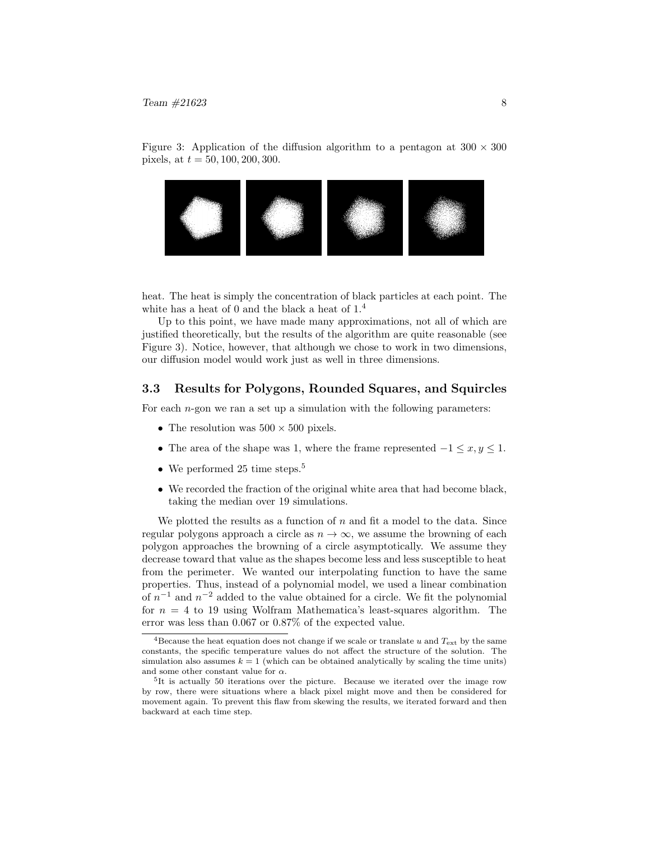Figure 3: Application of the diffusion algorithm to a pentagon at  $300 \times 300$ pixels, at  $t = 50, 100, 200, 300$ .



heat. The heat is simply the concentration of black particles at each point. The white has a heat of 0 and the black a heat of  $1<sup>4</sup>$ 

Up to this point, we have made many approximations, not all of which are justified theoretically, but the results of the algorithm are quite reasonable (see Figure 3). Notice, however, that although we chose to work in two dimensions, our diffusion model would work just as well in three dimensions.

### 3.3 Results for Polygons, Rounded Squares, and Squircles

For each  $n$ -gon we ran a set up a simulation with the following parameters:

- The resolution was  $500 \times 500$  pixels.
- The area of the shape was 1, where the frame represented  $-1 \le x, y \le 1$ .
- We performed 25 time steps.<sup>5</sup>
- We recorded the fraction of the original white area that had become black, taking the median over 19 simulations.

We plotted the results as a function of  $n$  and fit a model to the data. Since regular polygons approach a circle as  $n \to \infty$ , we assume the browning of each polygon approaches the browning of a circle asymptotically. We assume they decrease toward that value as the shapes become less and less susceptible to heat from the perimeter. We wanted our interpolating function to have the same properties. Thus, instead of a polynomial model, we used a linear combination of  $n^{-1}$  and  $n^{-2}$  added to the value obtained for a circle. We fit the polynomial for  $n = 4$  to 19 using Wolfram Mathematica's least-squares algorithm. The error was less than 0.067 or 0.87% of the expected value.

<sup>&</sup>lt;sup>4</sup>Because the heat equation does not change if we scale or translate u and  $T_{ext}$  by the same constants, the specific temperature values do not affect the structure of the solution. The simulation also assumes  $k = 1$  (which can be obtained analytically by scaling the time units) and some other constant value for  $\alpha$ .

<sup>&</sup>lt;sup>5</sup>It is actually 50 iterations over the picture. Because we iterated over the image row by row, there were situations where a black pixel might move and then be considered for movement again. To prevent this flaw from skewing the results, we iterated forward and then backward at each time step.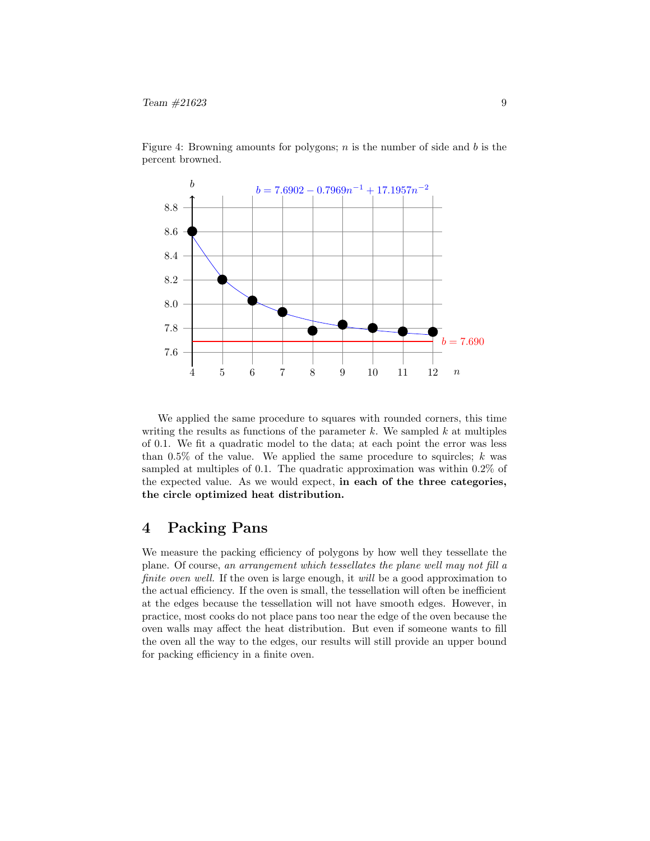

Figure 4: Browning amounts for polygons;  $n$  is the number of side and  $b$  is the percent browned.

We applied the same procedure to squares with rounded corners, this time writing the results as functions of the parameter  $k$ . We sampled  $k$  at multiples of 0.1. We fit a quadratic model to the data; at each point the error was less than 0.5% of the value. We applied the same procedure to squircles;  $k$  was sampled at multiples of 0.1. The quadratic approximation was within 0.2% of the expected value. As we would expect, in each of the three categories, the circle optimized heat distribution.

# 4 Packing Pans

We measure the packing efficiency of polygons by how well they tessellate the plane. Of course, an arrangement which tessellates the plane well may not fill a finite oven well. If the oven is large enough, it will be a good approximation to the actual efficiency. If the oven is small, the tessellation will often be inefficient at the edges because the tessellation will not have smooth edges. However, in practice, most cooks do not place pans too near the edge of the oven because the oven walls may affect the heat distribution. But even if someone wants to fill the oven all the way to the edges, our results will still provide an upper bound for packing efficiency in a finite oven.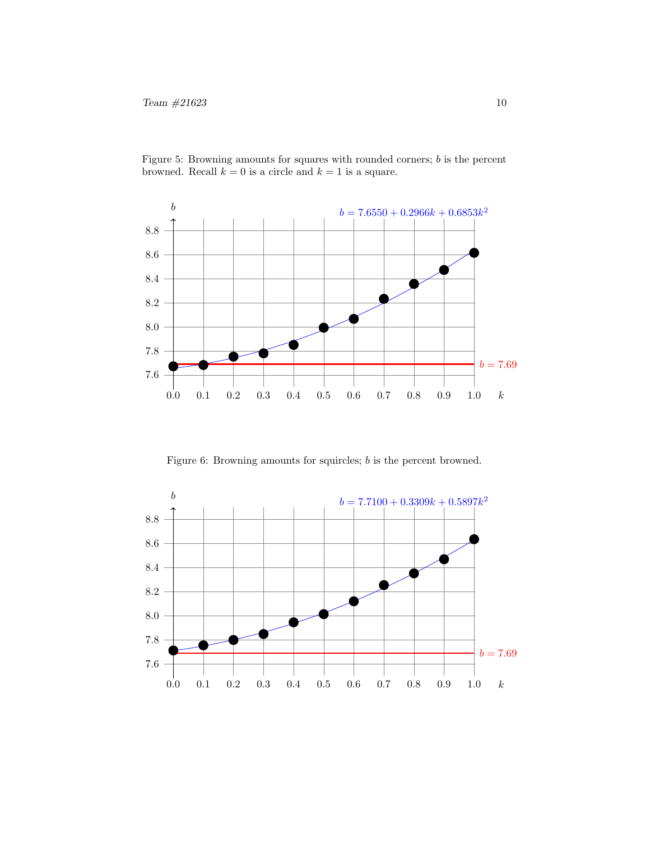

Figure 5: Browning amounts for squares with rounded corners; b is the percent browned. Recall  $k = 0$  is a circle and  $k = 1$  is a square.

Figure 6: Browning amounts for squircles; b is the percent browned.

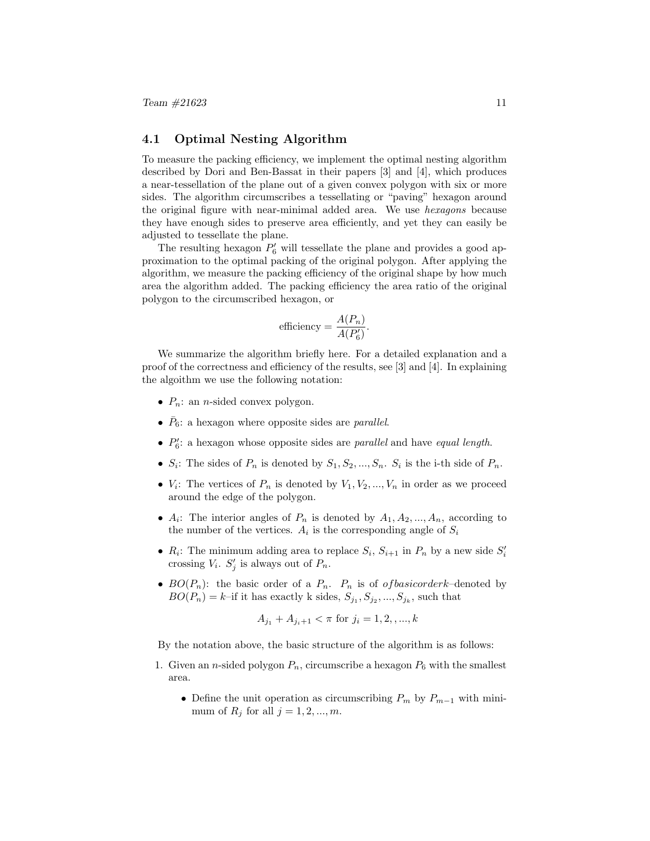### 4.1 Optimal Nesting Algorithm

To measure the packing efficiency, we implement the optimal nesting algorithm described by Dori and Ben-Bassat in their papers [3] and [4], which produces a near-tessellation of the plane out of a given convex polygon with six or more sides. The algorithm circumscribes a tessellating or "paving" hexagon around the original figure with near-minimal added area. We use hexagons because they have enough sides to preserve area efficiently, and yet they can easily be adjusted to tessellate the plane.

The resulting hexagon  $P'_6$  will tessellate the plane and provides a good approximation to the optimal packing of the original polygon. After applying the algorithm, we measure the packing efficiency of the original shape by how much area the algorithm added. The packing efficiency the area ratio of the original polygon to the circumscribed hexagon, or

efficiency = 
$$
\frac{A(P_n)}{A(P'_6)}
$$
.

We summarize the algorithm briefly here. For a detailed explanation and a proof of the correctness and efficiency of the results, see [3] and [4]. In explaining the algoithm we use the following notation:

- $P_n$ : an *n*-sided convex polygon.
- $\bar{P}_6$ : a hexagon where opposite sides are *parallel*.
- $\bullet$   $P'_6$ : a hexagon whose opposite sides are *parallel* and have *equal length*.
- $S_i$ : The sides of  $P_n$  is denoted by  $S_1, S_2, ..., S_n$ .  $S_i$  is the i-th side of  $P_n$ .
- $V_i$ : The vertices of  $P_n$  is denoted by  $V_1, V_2, ..., V_n$  in order as we proceed around the edge of the polygon.
- $A_i$ : The interior angles of  $P_n$  is denoted by  $A_1, A_2, ..., A_n$ , according to the number of the vertices.  $A_i$  is the corresponding angle of  $S_i$
- $R_i$ : The minimum adding area to replace  $S_i$ ,  $S_{i+1}$  in  $P_n$  by a new side  $S_i'$ crossing  $V_i$ .  $S'_j$  is always out of  $P_n$ .
- $BO(P_n)$ : the basic order of a  $P_n$ .  $P_n$  is of *of basicorderk*-denoted by  $BO(P_n) = k$ -if it has exactly k sides,  $S_{j_1}, S_{j_2}, ..., S_{j_k}$ , such that

$$
A_{j_1} + A_{j_i+1} < \pi \text{ for } j_i = 1, 2, \dots, k
$$

By the notation above, the basic structure of the algorithm is as follows:

- 1. Given an *n*-sided polygon  $P_n$ , circumscribe a hexagon  $P_6$  with the smallest area.
	- Define the unit operation as circumscribing  $P_m$  by  $P_{m-1}$  with minimum of  $R_j$  for all  $j = 1, 2, ..., m$ .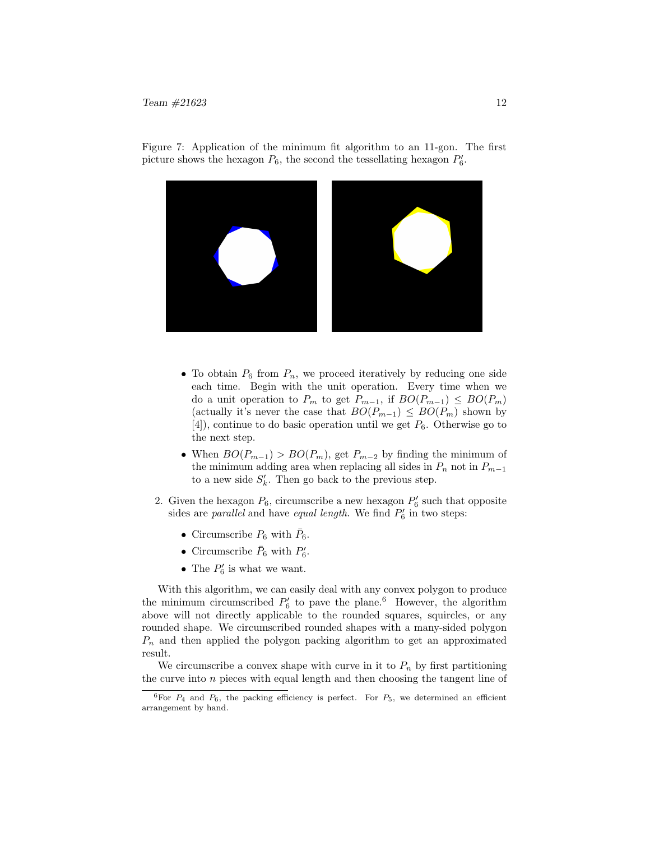

Figure 7: Application of the minimum fit algorithm to an 11-gon. The first picture shows the hexagon  $P_6$ , the second the tessellating hexagon  $P'_6$ .

- To obtain  $P_6$  from  $P_n$ , we proceed iteratively by reducing one side each time. Begin with the unit operation. Every time when we do a unit operation to  $P_m$  to get  $P_{m-1}$ , if  $BO(P_{m-1}) \leq BO(P_m)$ (actually it's never the case that  $BO(P_{m-1}) \leq BO(P_m)$  shown by  $[4]$ , continue to do basic operation until we get  $P_6$ . Otherwise go to the next step.
- When  $BO(P_{m-1}) > BO(P_m)$ , get  $P_{m-2}$  by finding the minimum of the minimum adding area when replacing all sides in  $P_n$  not in  $P_{m-1}$ to a new side  $S'_k$ . Then go back to the previous step.
- 2. Given the hexagon  $P_6$ , circumscribe a new hexagon  $P'_6$  such that opposite sides are *parallel* and have *equal length*. We find  $P'_6$  in two steps:
	- Circumscribe  $P_6$  with  $\bar{P}_6$ .
	- Circumscribe  $\bar{P}_6$  with  $P'_6$ .
	- The  $P'_6$  is what we want.

With this algorithm, we can easily deal with any convex polygon to produce the minimum circumscribed  $P'_6$  to pave the plane.<sup>6</sup> However, the algorithm above will not directly applicable to the rounded squares, squircles, or any rounded shape. We circumscribed rounded shapes with a many-sided polygon  $P_n$  and then applied the polygon packing algorithm to get an approximated result.

We circumscribe a convex shape with curve in it to  $P_n$  by first partitioning the curve into  $n$  pieces with equal length and then choosing the tangent line of

 $6$ For  $P_4$  and  $P_6$ , the packing efficiency is perfect. For  $P_5$ , we determined an efficient arrangement by hand.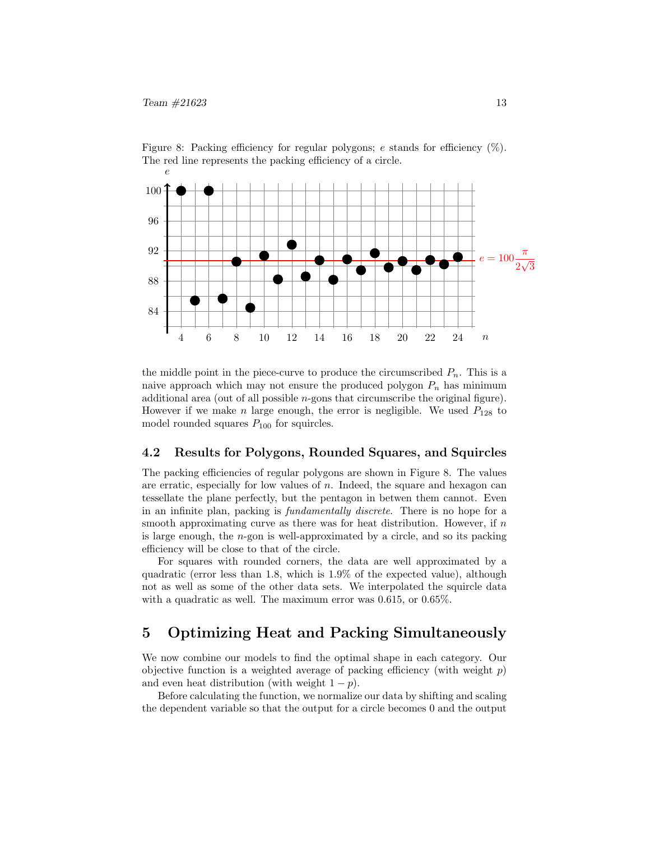

Figure 8: Packing efficiency for regular polygons; e stands for efficiency  $(\%)$ . The red line represents the packing efficiency of a circle.

the middle point in the piece-curve to produce the circumscribed  $P_n$ . This is a naive approach which may not ensure the produced polygon  $P_n$  has minimum additional area (out of all possible n-gons that circumscribe the original figure). However if we make n large enough, the error is negligible. We used  $P_{128}$  to model rounded squares  $P_{100}$  for squircles.

#### 4.2 Results for Polygons, Rounded Squares, and Squircles

The packing efficiencies of regular polygons are shown in Figure 8. The values are erratic, especially for low values of  $n$ . Indeed, the square and hexagon can tessellate the plane perfectly, but the pentagon in betwen them cannot. Even in an infinite plan, packing is fundamentally discrete. There is no hope for a smooth approximating curve as there was for heat distribution. However, if  $n$ is large enough, the n-gon is well-approximated by a circle, and so its packing efficiency will be close to that of the circle.

For squares with rounded corners, the data are well approximated by a quadratic (error less than 1.8, which is 1.9% of the expected value), although not as well as some of the other data sets. We interpolated the squircle data with a quadratic as well. The maximum error was 0.615, or 0.65%.

# 5 Optimizing Heat and Packing Simultaneously

We now combine our models to find the optimal shape in each category. Our objective function is a weighted average of packing efficiency (with weight  $p$ ) and even heat distribution (with weight  $1 - p$ ).

Before calculating the function, we normalize our data by shifting and scaling the dependent variable so that the output for a circle becomes 0 and the output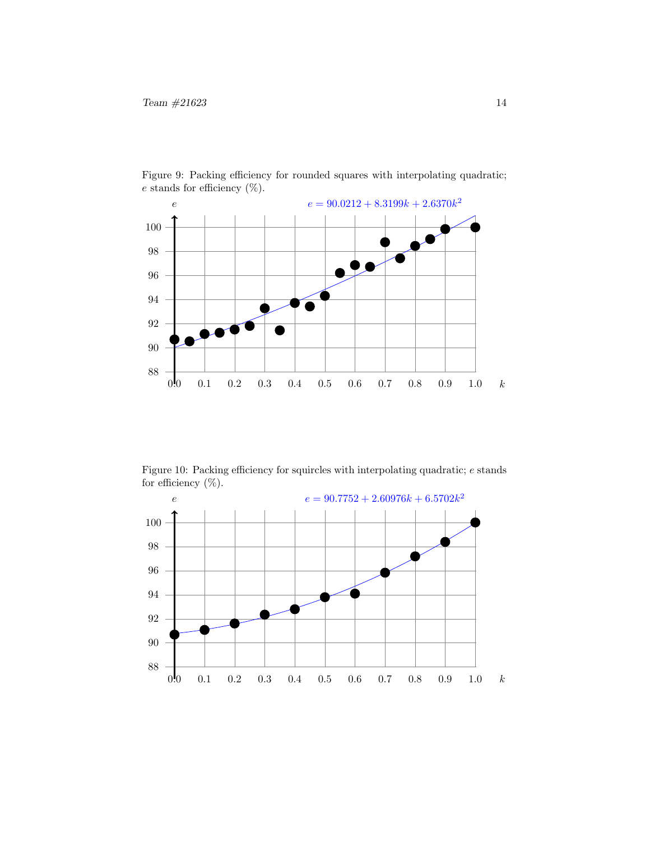

Figure 9: Packing efficiency for rounded squares with interpolating quadratic;  $e$  stands for efficiency  $(\%)$ .

Figure 10: Packing efficiency for squircles with interpolating quadratic;  $e$  stands for efficiency  $(\%)$ .

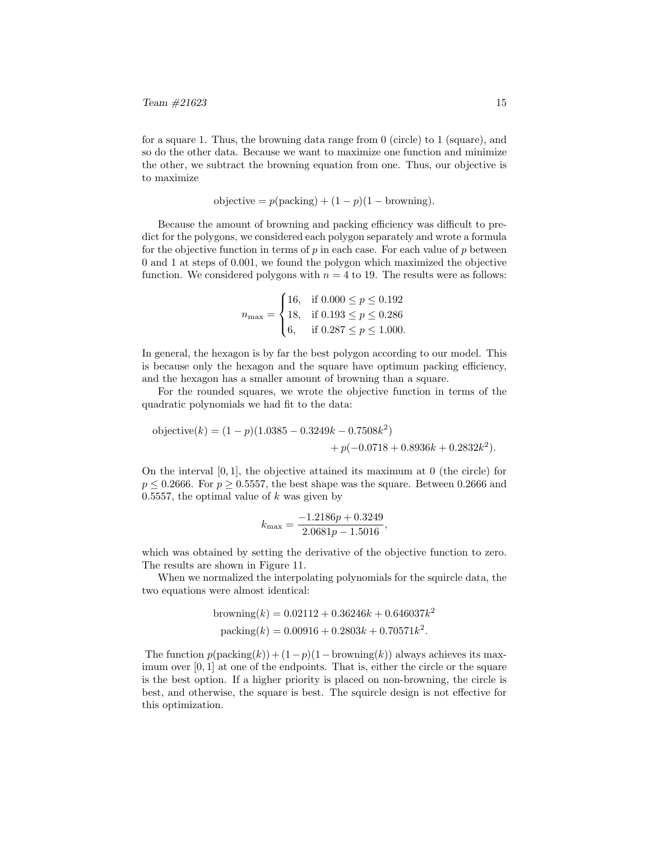for a square 1. Thus, the browning data range from 0 (circle) to 1 (square), and so do the other data. Because we want to maximize one function and minimize the other, we subtract the browning equation from one. Thus, our objective is to maximize

objective = 
$$
p(\text{packing}) + (1 - p)(1 - \text{browing})
$$
.

Because the amount of browning and packing efficiency was difficult to predict for the polygons, we considered each polygon separately and wrote a formula for the objective function in terms of  $p$  in each case. For each value of  $p$  between 0 and 1 at steps of 0.001, we found the polygon which maximized the objective function. We considered polygons with  $n = 4$  to 19. The results were as follows:

$$
n_{\text{max}} = \begin{cases} 16, & \text{if } 0.000 \le p \le 0.192 \\ 18, & \text{if } 0.193 \le p \le 0.286 \\ 6, & \text{if } 0.287 \le p \le 1.000. \end{cases}
$$

In general, the hexagon is by far the best polygon according to our model. This is because only the hexagon and the square have optimum packing efficiency, and the hexagon has a smaller amount of browning than a square.

For the rounded squares, we wrote the objective function in terms of the quadratic polynomials we had fit to the data:

objective(k) = 
$$
(1 - p)(1.0385 - 0.3249k - 0.7508k^2)
$$
  
+  $p(-0.0718 + 0.8936k + 0.2832k^2)$ .

On the interval  $[0, 1]$ , the objective attained its maximum at 0 (the circle) for  $p \leq 0.2666$ . For  $p \geq 0.5557$ , the best shape was the square. Between 0.2666 and 0.5557, the optimal value of  $k$  was given by

$$
k_{\text{max}} = \frac{-1.2186p + 0.3249}{2.0681p - 1.5016},
$$

which was obtained by setting the derivative of the objective function to zero. The results are shown in Figure 11.

When we normalized the interpolating polynomials for the squircle data, the two equations were almost identical:

browing(k) = 
$$
0.02112 + 0.36246k + 0.646037k^2
$$
  
packing(k) =  $0.00916 + 0.2803k + 0.70571k^2$ .

The function  $p(\text{packing}(k)) + (1-p)(1-\text{browning}(k))$  always achieves its maximum over [0, 1] at one of the endpoints. That is, either the circle or the square is the best option. If a higher priority is placed on non-browning, the circle is best, and otherwise, the square is best. The squircle design is not effective for this optimization.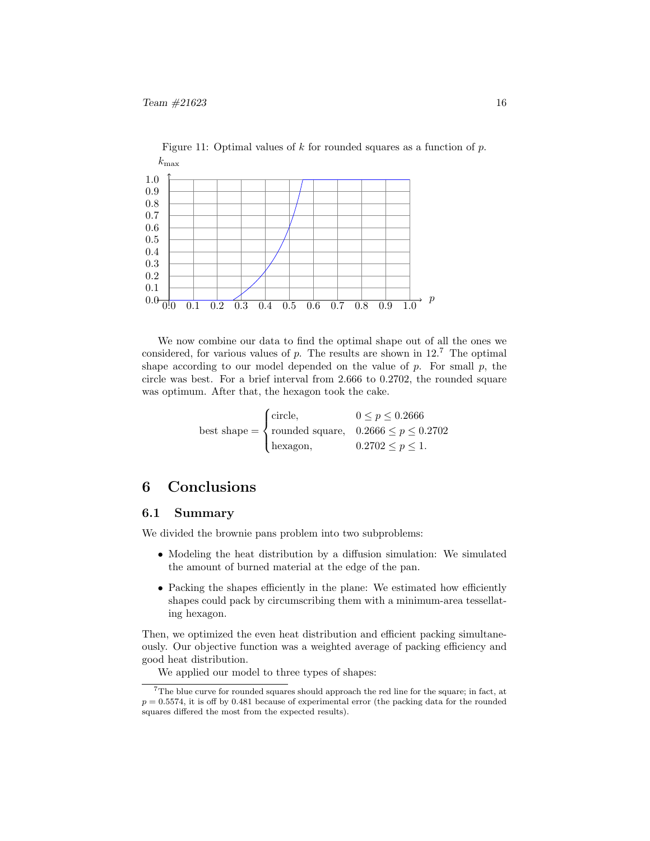

We now combine our data to find the optimal shape out of all the ones we considered, for various values of p. The results are shown in  $12<sup>7</sup>$  The optimal shape according to our model depended on the value of  $p$ . For small  $p$ , the circle was best. For a brief interval from 2.666 to 0.2702, the rounded square was optimum. After that, the hexagon took the cake.

Figure 11: Optimal values of  $k$  for rounded squares as a function of  $p$ .

best shape =  $\sqrt{ }$  $\int$  $\overline{a}$ circle,  $0 \le p \le 0.2666$ rounded square,  $0.2666 \leq p \leq 0.2702$ hexagon,  $0.2702 \leq p \leq 1$ .

# 6 Conclusions

#### 6.1 Summary

We divided the brownie pans problem into two subproblems:

- Modeling the heat distribution by a diffusion simulation: We simulated the amount of burned material at the edge of the pan.
- Packing the shapes efficiently in the plane: We estimated how efficiently shapes could pack by circumscribing them with a minimum-area tessellating hexagon.

Then, we optimized the even heat distribution and efficient packing simultaneously. Our objective function was a weighted average of packing efficiency and good heat distribution.

We applied our model to three types of shapes:

 $7$ The blue curve for rounded squares should approach the red line for the square; in fact, at  $p = 0.5574$ , it is off by 0.481 because of experimental error (the packing data for the rounded squares differed the most from the expected results).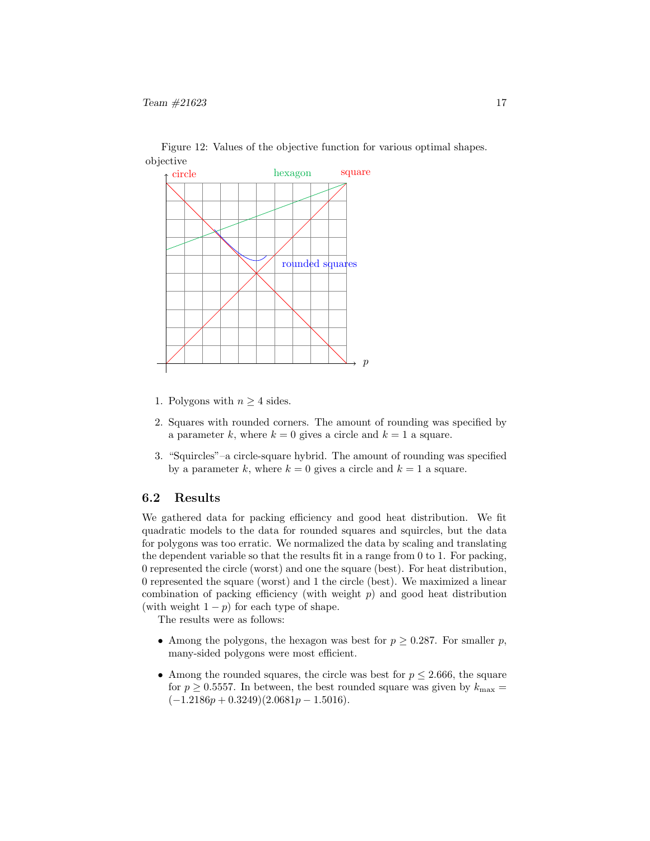

Figure 12: Values of the objective function for various optimal shapes. objective

- 1. Polygons with  $n \geq 4$  sides.
- 2. Squares with rounded corners. The amount of rounding was specified by a parameter k, where  $k = 0$  gives a circle and  $k = 1$  a square.
- 3. "Squircles"–a circle-square hybrid. The amount of rounding was specified by a parameter k, where  $k = 0$  gives a circle and  $k = 1$  a square.

### 6.2 Results

We gathered data for packing efficiency and good heat distribution. We fit quadratic models to the data for rounded squares and squircles, but the data for polygons was too erratic. We normalized the data by scaling and translating the dependent variable so that the results fit in a range from 0 to 1. For packing, 0 represented the circle (worst) and one the square (best). For heat distribution, 0 represented the square (worst) and 1 the circle (best). We maximized a linear combination of packing efficiency (with weight  $p$ ) and good heat distribution (with weight  $1 - p$ ) for each type of shape.

The results were as follows:

- Among the polygons, the hexagon was best for  $p \geq 0.287$ . For smaller p, many-sided polygons were most efficient.
- Among the rounded squares, the circle was best for  $p \leq 2.666$ , the square for  $p \geq 0.5557$ . In between, the best rounded square was given by  $k_{\text{max}} =$  $(-1.2186p + 0.3249)(2.0681p - 1.5016).$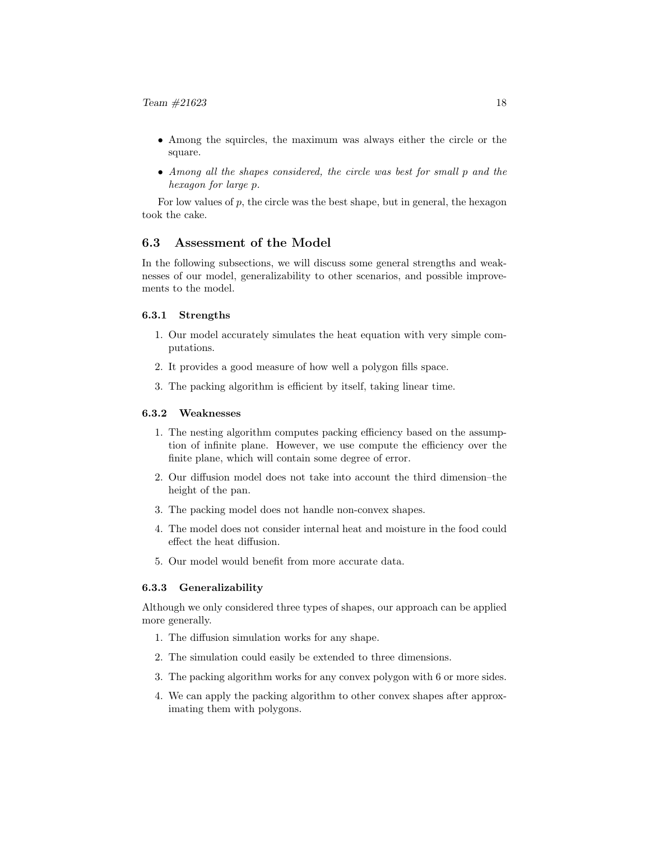- Among the squircles, the maximum was always either the circle or the square.
- Among all the shapes considered, the circle was best for small p and the hexagon for large p.

For low values of  $p$ , the circle was the best shape, but in general, the hexagon took the cake.

### 6.3 Assessment of the Model

In the following subsections, we will discuss some general strengths and weaknesses of our model, generalizability to other scenarios, and possible improvements to the model.

### 6.3.1 Strengths

- 1. Our model accurately simulates the heat equation with very simple computations.
- 2. It provides a good measure of how well a polygon fills space.
- 3. The packing algorithm is efficient by itself, taking linear time.

#### 6.3.2 Weaknesses

- 1. The nesting algorithm computes packing efficiency based on the assumption of infinite plane. However, we use compute the efficiency over the finite plane, which will contain some degree of error.
- 2. Our diffusion model does not take into account the third dimension–the height of the pan.
- 3. The packing model does not handle non-convex shapes.
- 4. The model does not consider internal heat and moisture in the food could effect the heat diffusion.
- 5. Our model would benefit from more accurate data.

#### 6.3.3 Generalizability

Although we only considered three types of shapes, our approach can be applied more generally.

- 1. The diffusion simulation works for any shape.
- 2. The simulation could easily be extended to three dimensions.
- 3. The packing algorithm works for any convex polygon with 6 or more sides.
- 4. We can apply the packing algorithm to other convex shapes after approximating them with polygons.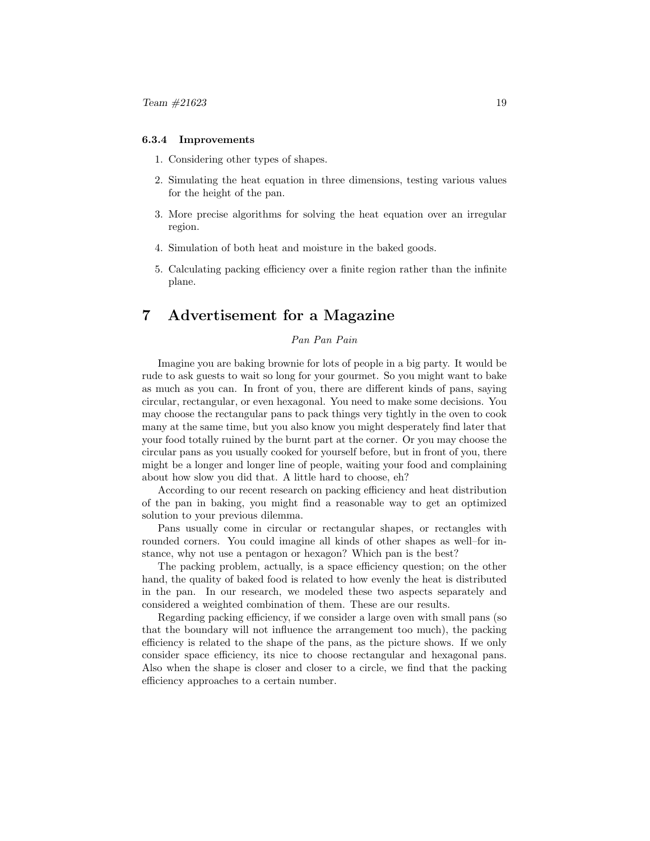#### 6.3.4 Improvements

- 1. Considering other types of shapes.
- 2. Simulating the heat equation in three dimensions, testing various values for the height of the pan.
- 3. More precise algorithms for solving the heat equation over an irregular region.
- 4. Simulation of both heat and moisture in the baked goods.
- 5. Calculating packing efficiency over a finite region rather than the infinite plane.

# 7 Advertisement for a Magazine

### Pan Pan Pain

Imagine you are baking brownie for lots of people in a big party. It would be rude to ask guests to wait so long for your gourmet. So you might want to bake as much as you can. In front of you, there are different kinds of pans, saying circular, rectangular, or even hexagonal. You need to make some decisions. You may choose the rectangular pans to pack things very tightly in the oven to cook many at the same time, but you also know you might desperately find later that your food totally ruined by the burnt part at the corner. Or you may choose the circular pans as you usually cooked for yourself before, but in front of you, there might be a longer and longer line of people, waiting your food and complaining about how slow you did that. A little hard to choose, eh?

According to our recent research on packing efficiency and heat distribution of the pan in baking, you might find a reasonable way to get an optimized solution to your previous dilemma.

Pans usually come in circular or rectangular shapes, or rectangles with rounded corners. You could imagine all kinds of other shapes as well–for instance, why not use a pentagon or hexagon? Which pan is the best?

The packing problem, actually, is a space efficiency question; on the other hand, the quality of baked food is related to how evenly the heat is distributed in the pan. In our research, we modeled these two aspects separately and considered a weighted combination of them. These are our results.

Regarding packing efficiency, if we consider a large oven with small pans (so that the boundary will not influence the arrangement too much), the packing efficiency is related to the shape of the pans, as the picture shows. If we only consider space efficiency, its nice to choose rectangular and hexagonal pans. Also when the shape is closer and closer to a circle, we find that the packing efficiency approaches to a certain number.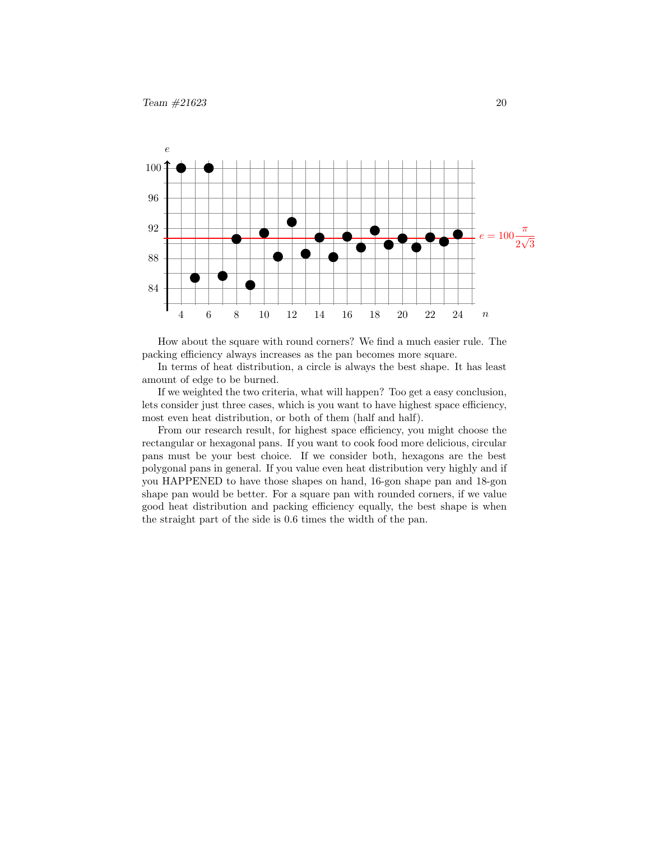

How about the square with round corners? We find a much easier rule. The packing efficiency always increases as the pan becomes more square.

In terms of heat distribution, a circle is always the best shape. It has least amount of edge to be burned.

If we weighted the two criteria, what will happen? Too get a easy conclusion, lets consider just three cases, which is you want to have highest space efficiency, most even heat distribution, or both of them (half and half).

From our research result, for highest space efficiency, you might choose the rectangular or hexagonal pans. If you want to cook food more delicious, circular pans must be your best choice. If we consider both, hexagons are the best polygonal pans in general. If you value even heat distribution very highly and if you HAPPENED to have those shapes on hand, 16-gon shape pan and 18-gon shape pan would be better. For a square pan with rounded corners, if we value good heat distribution and packing efficiency equally, the best shape is when the straight part of the side is 0.6 times the width of the pan.